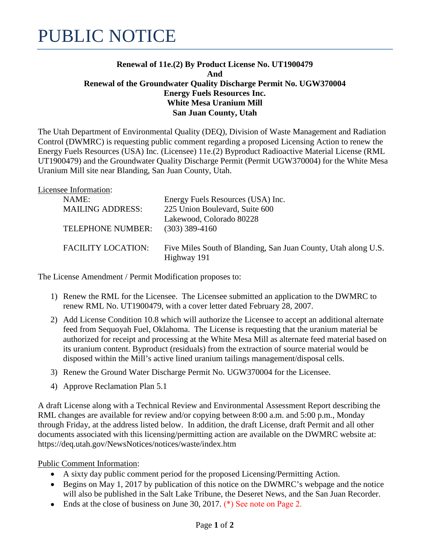## **Renewal of 11e.(2) By Product License No. UT1900479 And Renewal of the Groundwater Quality Discharge Permit No. UGW370004 Energy Fuels Resources Inc. White Mesa Uranium Mill San Juan County, Utah**

The Utah Department of Environmental Quality (DEQ), Division of Waste Management and Radiation Control (DWMRC) is requesting public comment regarding a proposed Licensing Action to renew the Energy Fuels Resources (USA) Inc. (Licensee) 11e.(2) Byproduct Radioactive Material License (RML UT1900479) and the Groundwater Quality Discharge Permit (Permit UGW370004) for the White Mesa Uranium Mill site near Blanding, San Juan County, Utah.

| Energy Fuels Resources (USA) Inc.                              |
|----------------------------------------------------------------|
| 225 Union Boulevard, Suite 600                                 |
| Lakewood, Colorado 80228                                       |
| $(303)$ 389-4160                                               |
|                                                                |
| Five Miles South of Blanding, San Juan County, Utah along U.S. |
| Highway 191                                                    |
|                                                                |

The License Amendment / Permit Modification proposes to:

- 1) Renew the RML for the Licensee. The Licensee submitted an application to the DWMRC to renew RML No. UT1900479, with a cover letter dated February 28, 2007.
- 2) Add License Condition 10.8 which will authorize the Licensee to accept an additional alternate feed from Sequoyah Fuel, Oklahoma. The License is requesting that the uranium material be authorized for receipt and processing at the White Mesa Mill as alternate feed material based on its uranium content. Byproduct (residuals) from the extraction of source material would be disposed within the Mill's active lined uranium tailings management/disposal cells.
- 3) Renew the Ground Water Discharge Permit No. UGW370004 for the Licensee.
- 4) Approve Reclamation Plan 5.1

A draft License along with a Technical Review and Environmental Assessment Report describing the RML changes are available for review and/or copying between 8:00 a.m. and 5:00 p.m., Monday through Friday, at the address listed below. In addition, the draft License, draft Permit and all other documents associated with this licensing/permitting action are available on the DWMRC website at: https://deq.utah.gov/NewsNotices/notices/waste/index.htm

Public Comment Information:

- A sixty day public comment period for the proposed Licensing/Permitting Action.
- Begins on May 1, 2017 by publication of this notice on the DWMRC's webpage and the notice will also be published in the Salt Lake Tribune, the Deseret News, and the San Juan Recorder.
- Ends at the close of business on June 30, 2017. (\*) See note on Page 2.